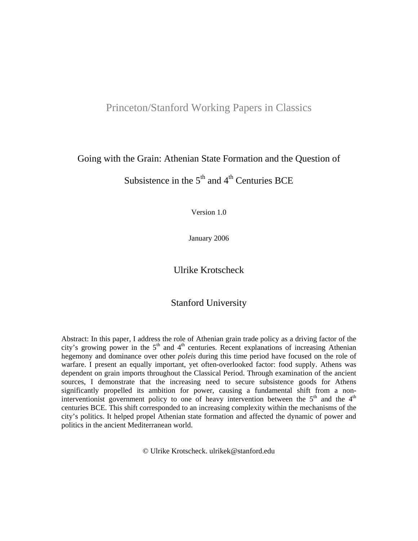# Princeton/Stanford Working Papers in Classics

## Going with the Grain: Athenian State Formation and the Question of

Subsistence in the  $5<sup>th</sup>$  and  $4<sup>th</sup>$  Centuries BCE

Version 1.0

January 2006

Ulrike Krotscheck

## Stanford University

Abstract: In this paper, I address the role of Athenian grain trade policy as a driving factor of the city's growing power in the  $5<sup>th</sup>$  and  $4<sup>th</sup>$  centuries. Recent explanations of increasing Athenian hegemony and dominance over other *poleis* during this time period have focused on the role of warfare. I present an equally important, yet often-overlooked factor: food supply. Athens was dependent on grain imports throughout the Classical Period. Through examination of the ancient sources, I demonstrate that the increasing need to secure subsistence goods for Athens significantly propelled its ambition for power, causing a fundamental shift from a noninterventionist government policy to one of heavy intervention between the  $5<sup>th</sup>$  and the  $4<sup>th</sup>$ centuries BCE. This shift corresponded to an increasing complexity within the mechanisms of the city's politics. It helped propel Athenian state formation and affected the dynamic of power and politics in the ancient Mediterranean world.

© Ulrike Krotscheck. ulrikek@stanford.edu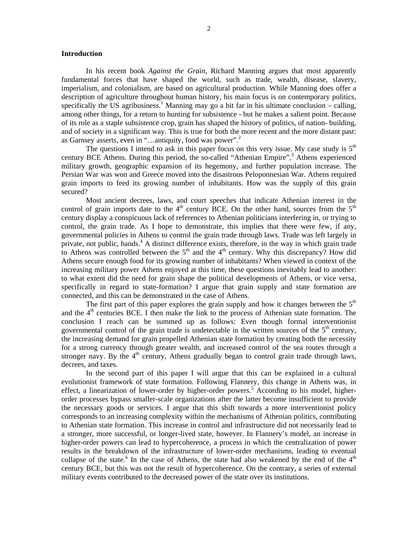#### **Introduction**

In his recent book *Against the Grain,* Richard Manning argues that most apparently fundamental forces that have shaped the world, such as trade, wealth, disease, slavery, imperialism, and colonialism, are based on agricultural production. While Manning does offer a description of agriculture throughout human history, his main focus is on contemporary politics, specifically the US agribusiness.<sup>1</sup> Manning may go a bit far in his ultimate conclusion  $-$  calling, among other things, for a return to hunting for subsistence - but he makes a salient point. Because of its role as a staple subsistence crop, grain has shaped the history of politics, of nation- building, and of society in a significant way. This is true for both the more recent and the more distant past: as Garnsey asserts, even in "…antiquity, food was power".<sup>2</sup>

The questions I intend to ask in this paper focus on this very issue. My case study is  $5<sup>th</sup>$ century BCE Athens. During this period, the so-called "Athenian Empire",<sup>3</sup> Athens experienced military growth, geographic expansion of its hegemony, and further population increase. The Persian War was won and Greece moved into the disastrous Peloponnesian War. Athens required grain imports to feed its growing number of inhabitants. How was the supply of this grain secured?

Most ancient decrees, laws, and court speeches that indicate Athenian interest in the control of grain imports date to the  $4<sup>th</sup>$  century BCE. On the other hand, sources from the  $5<sup>th</sup>$ century display a conspicuous lack of references to Athenian politicians interfering in, or trying to control, the grain trade. As I hope to demonstrate, this implies that there were few, if any, governmental policies in Athens to control the grain trade through laws. Trade was left largely in private, not public, hands.<sup>4</sup> A distinct difference exists, therefore, in the way in which grain trade to Athens was controlled between the  $5<sup>th</sup>$  and the  $4<sup>th</sup>$  century. Why this discrepancy? How did Athens secure enough food for its growing number of inhabitants? When viewed in context of the increasing military power Athens enjoyed at this time, these questions inevitably lead to another: to what extent did the need for grain shape the political developments of Athens, or vice versa, specifically in regard to state-formation? I argue that grain supply and state formation are connected, and this can be demonstrated in the case of Athens.

The first part of this paper explores the grain supply and how it changes between the  $5<sup>th</sup>$ and the  $4<sup>th</sup>$  centuries BCE. I then make the link to the process of Athenian state formation. The conclusion I reach can be summed up as follows: Even though formal interventionist governmental control of the grain trade is undetectable in the written sources of the  $5<sup>th</sup>$  century, the increasing demand for grain propelled Athenian state formation by creating both the necessity for a strong currency through greater wealth, and increased control of the sea routes through a stronger navy. By the  $4<sup>th</sup>$  century, Athens gradually began to control grain trade through laws, decrees, and taxes.

In the second part of this paper I will argue that this can be explained in a cultural evolutionist framework of state formation. Following Flannery, this change in Athens was, in effect, a linearization of lower-order by higher-order powers.<sup>5</sup> According to his model, higherorder processes bypass smaller-scale organizations after the latter become insufficient to provide the necessary goods or services. I argue that this shift towards a more interventionist policy corresponds to an increasing complexity within the mechanisms of Athenian politics, contributing to Athenian state formation. This increase in control and infrastructure did not necessarily lead to a stronger, more successful, or longer-lived state, however. In Flannery's model, an increase in higher-order powers can lead to hypercoherence, a process in which the centralization of power results in the breakdown of the infrastructure of lower-order mechanisms, leading to eventual collapse of the state.<sup>6</sup> In the case of Athens, the state had also weakened by the end of the  $4<sup>th</sup>$ century BCE, but this was not the result of hypercoherence. On the contrary, a series of external military events contributed to the decreased power of the state over its institutions.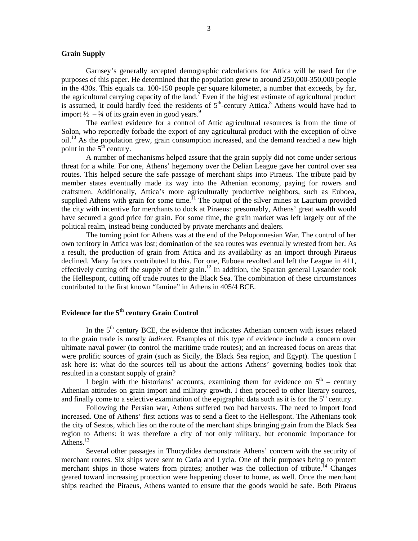#### **Grain Supply**

Garnsey's generally accepted demographic calculations for Attica will be used for the purposes of this paper. He determined that the population grew to around 250,000-350,000 people in the 430s. This equals ca. 100-150 people per square kilometer, a number that exceeds, by far, the agricultural carrying capacity of the land.<sup>7</sup> Even if the highest estimate of agricultural product is assumed, it could hardly feed the residents of  $5<sup>th</sup>$ -century Attica.<sup>8</sup> Athens would have had to import  $\frac{1}{2}$  –  $\frac{3}{4}$  of its grain even in good years.<sup>9</sup>

The earliest evidence for a control of Attic agricultural resources is from the time of Solon, who reportedly forbade the export of any agricultural product with the exception of olive  $\delta$  oil.<sup>10</sup> As the population grew, grain consumption increased, and the demand reached a new high point in the  $5<sup>th</sup>$  century.

A number of mechanisms helped assure that the grain supply did not come under serious threat for a while. For one, Athens' hegemony over the Delian League gave her control over sea routes. This helped secure the safe passage of merchant ships into Piraeus. The tribute paid by member states eventually made its way into the Athenian economy, paying for rowers and craftsmen. Additionally, Attica's more agriculturally productive neighbors, such as Euboea, supplied Athens with grain for some time.<sup>11</sup> The output of the silver mines at Laurium provided the city with incentive for merchants to dock at Piraeus: presumably, Athens' great wealth would have secured a good price for grain. For some time, the grain market was left largely out of the political realm, instead being conducted by private merchants and dealers.

The turning point for Athens was at the end of the Peloponnesian War. The control of her own territory in Attica was lost; domination of the sea routes was eventually wrested from her. As a result, the production of grain from Attica and its availability as an import through Piraeus declined. Many factors contributed to this. For one, Euboea revolted and left the League in 411, effectively cutting off the supply of their grain.<sup>12</sup> In addition, the Spartan general Lysander took the Hellespont, cutting off trade routes to the Black Sea. The combination of these circumstances contributed to the first known "famine" in Athens in 405/4 BCE.

## **Evidence for the 5th century Grain Control**

In the  $5<sup>th</sup>$  century BCE, the evidence that indicates Athenian concern with issues related to the grain trade is mostly *indirect.* Examples of this type of evidence include a concern over ultimate naval power (to control the maritime trade routes); and an increased focus on areas that were prolific sources of grain (such as Sicily, the Black Sea region, and Egypt). The question I ask here is: what do the sources tell us about the actions Athens' governing bodies took that resulted in a constant supply of grain?

I begin with the historians' accounts, examining them for evidence on  $5<sup>th</sup>$  – century Athenian attitudes on grain import and military growth. I then proceed to other literary sources, and finally come to a selective examination of the epigraphic data such as it is for the  $5<sup>th</sup>$  century.

Following the Persian war, Athens suffered two bad harvests. The need to import food increased. One of Athens' first actions was to send a fleet to the Hellespont. The Athenians took the city of Sestos, which lies on the route of the merchant ships bringing grain from the Black Sea region to Athens: it was therefore a city of not only military, but economic importance for Athens.<sup>13</sup>

Several other passages in Thucydides demonstrate Athens' concern with the security of merchant routes. Six ships were sent to Caria and Lycia. One of their purposes being to protect merchant ships in those waters from pirates; another was the collection of tribute.<sup>14</sup> Changes geared toward increasing protection were happening closer to home, as well. Once the merchant ships reached the Piraeus, Athens wanted to ensure that the goods would be safe. Both Piraeus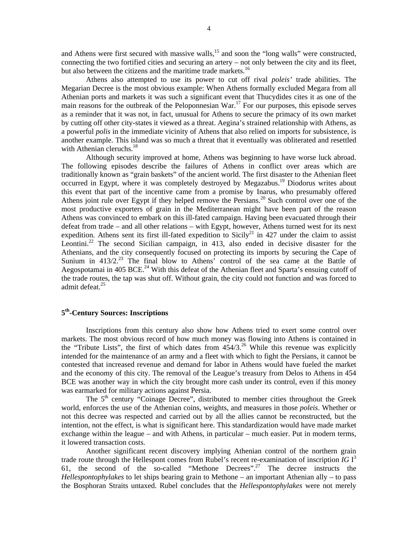and Athens were first secured with massive walls,<sup>15</sup> and soon the "long walls" were constructed, connecting the two fortified cities and securing an artery – not only between the city and its fleet, but also between the citizens and the maritime trade markets.<sup>16</sup>

Athens also attempted to use its power to cut off rival *poleis'* trade abilities. The Megarian Decree is the most obvious example: When Athens formally excluded Megara from all Athenian ports and markets it was such a significant event that Thucydides cites it as one of the main reasons for the outbreak of the Peloponnesian War.<sup>17</sup> For our purposes, this episode serves as a reminder that it was not, in fact, unusual for Athens to secure the primacy of its own market by cutting off other city-states it viewed as a threat. Aegina's strained relationship with Athens, as a powerful *polis* in the immediate vicinity of Athens that also relied on imports for subsistence, is another example. This island was so much a threat that it eventually was obliterated and resettled with Athenian cleruchs. $18<sup>18</sup>$ 

Although security improved at home, Athens was beginning to have worse luck abroad. The following episodes describe the failures of Athens in conflict over areas which are traditionally known as "grain baskets" of the ancient world. The first disaster to the Athenian fleet occurred in Egypt, where it was completely destroyed by Megazabus.<sup>19</sup> Diodorus writes about this event that part of the incentive came from a promise by Inarus, who presumably offered Athens joint rule over Egypt if they helped remove the Persians.<sup>20</sup> Such control over one of the most productive exporters of grain in the Mediterranean might have been part of the reason Athens was convinced to embark on this ill-fated campaign. Having been evacuated through their defeat from trade – and all other relations – with Egypt, however, Athens turned west for its next expedition. Athens sent its first ill-fated expedition to Sicily<sup>21</sup> in 427 under the claim to assist Leontini.<sup>22</sup> The second Sicilian campaign, in 413, also ended in decisive disaster for the Athenians, and the city consequently focused on protecting its imports by securing the Cape of Sunium in  $413/2$ <sup>23</sup> The final blow to Athens<sup>5</sup> control of the sea came at the Battle of Aegospotamai in 405 BCE.<sup>24</sup> With this defeat of the Athenian fleet and Sparta's ensuing cutoff of the trade routes, the tap was shut off. Without grain, the city could not function and was forced to admit defeat.<sup>25</sup>

## **5th-Century Sources: Inscriptions**

Inscriptions from this century also show how Athens tried to exert some control over markets. The most obvious record of how much money was flowing into Athens is contained in the "Tribute Lists", the first of which dates from  $454/3$ .<sup>26</sup> While this revenue was explicitly intended for the maintenance of an army and a fleet with which to fight the Persians, it cannot be contested that increased revenue and demand for labor in Athens would have fueled the market and the economy of this city. The removal of the League's treasury from Delos to Athens in 454 BCE was another way in which the city brought more cash under its control, even if this money was earmarked for military actions against Persia.

The  $5<sup>th</sup>$  century "Coinage Decree", distributed to member cities throughout the Greek world, enforces the use of the Athenian coins, weights, and measures in those *poleis*. Whether or not this decree was respected and carried out by all the allies cannot be reconstructed, but the intention, not the effect, is what is significant here. This standardization would have made market exchange within the league – and with Athens, in particular – much easier. Put in modern terms, it lowered transaction costs.

Another significant recent discovery implying Athenian control of the northern grain trade route through the Hellespont comes from Rubel's recent re-examination of inscription *IG* I<sup>3</sup> 61, the second of the so-called "Methone Decrees".27 The decree instructs the *Hellespontophylakes* to let ships bearing grain to Methone – an important Athenian ally – to pass the Bosphoran Straits untaxed. Rubel concludes that the *Hellespontophylakes* were not merely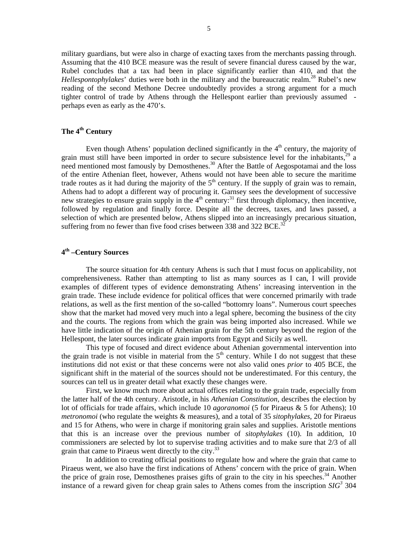military guardians, but were also in charge of exacting taxes from the merchants passing through. Assuming that the 410 BCE measure was the result of severe financial duress caused by the war, Rubel concludes that a tax had been in place significantly earlier than 410, and that the *Hellespontophylakes*' duties were both in the military and the bureaucratic realm.<sup>28</sup> Rubel's new reading of the second Methone Decree undoubtedly provides a strong argument for a much tighter control of trade by Athens through the Hellespont earlier than previously assumed perhaps even as early as the 470's.

### **The 4th Century**

Even though Athens' population declined significantly in the  $4<sup>th</sup>$  century, the majority of grain must still have been imported in order to secure subsistence level for the inhabitants,<sup>29</sup> a need mentioned most famously by Demosthenes.<sup>30</sup> After the Battle of Aegospotamai and the loss of the entire Athenian fleet, however, Athens would not have been able to secure the maritime trade routes as it had during the majority of the  $5<sup>th</sup>$  century. If the supply of grain was to remain, Athens had to adopt a different way of procuring it. Garnsey sees the development of successive new strategies to ensure grain supply in the  $4<sup>th</sup>$  century:<sup>31</sup> first through diplomacy, then incentive, followed by regulation and finally force. Despite all the decrees, taxes, and laws passed, a selection of which are presented below, Athens slipped into an increasingly precarious situation, suffering from no fewer than five food crises between 338 and 322 BCE.<sup>32</sup>

### **4th –Century Sources**

The source situation for 4th century Athens is such that I must focus on applicability, not comprehensiveness. Rather than attempting to list as many sources as I can, I will provide examples of different types of evidence demonstrating Athens' increasing intervention in the grain trade. These include evidence for political offices that were concerned primarily with trade relations, as well as the first mention of the so-called "bottomry loans". Numerous court speeches show that the market had moved very much into a legal sphere, becoming the business of the city and the courts. The regions from which the grain was being imported also increased. While we have little indication of the origin of Athenian grain for the 5th century beyond the region of the Hellespont, the later sources indicate grain imports from Egypt and Sicily as well.

This type of focused and direct evidence about Athenian governmental intervention into the grain trade is not visible in material from the  $5<sup>th</sup>$  century. While I do not suggest that these institutions did not exist or that these concerns were not also valid ones *prior* to 405 BCE, the significant shift in the material of the sources should not be underestimated. For this century, the sources can tell us in greater detail what exactly these changes were.

First, we know much more about actual offices relating to the grain trade, especially from the latter half of the 4th century. Aristotle, in his *Athenian Constitution,* describes the election by lot of officials for trade affairs, which include 10 *agoranomoi* (5 for Piraeus & 5 for Athens); 10 *metronomoi* (who regulate the weights & measures), and a total of 35 *sitophylakes*, 20 for Piraeus and 15 for Athens, who were in charge if monitoring grain sales and supplies. Aristotle mentions that this is an increase over the previous number of *sitophylakes* (10). In addition, 10 commissioners are selected by lot to supervise trading activities and to make sure that 2/3 of all grain that came to Piraeus went directly to the city.<sup>33</sup>

In addition to creating official positions to regulate how and where the grain that came to Piraeus went, we also have the first indications of Athens' concern with the price of grain. When the price of grain rose, Demosthenes praises gifts of grain to the city in his speeches.<sup>34</sup> Another instance of a reward given for cheap grain sales to Athens comes from the inscription  $SIG<sup>3</sup>$  304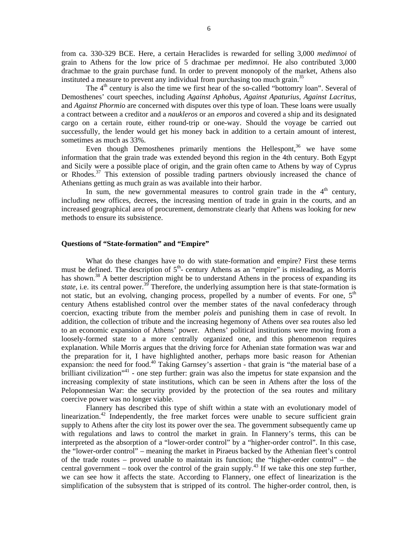from ca. 330-329 BCE. Here, a certain Heraclides is rewarded for selling 3,000 *medimnoi* of grain to Athens for the low price of 5 drachmae per *medimnoi.* He also contributed 3,000 drachmae to the grain purchase fund. In order to prevent monopoly of the market, Athens also instituted a measure to prevent any individual from purchasing too much grain.<sup>35</sup>

The  $4<sup>th</sup>$  century is also the time we first hear of the so-called "bottomry loan". Several of Demosthenes' court speeches, including *Against Aphobus, Against Apaturius, Against Lacritus,*  and *Against Phormio* are concerned with disputes over this type of loan. These loans were usually a contract between a creditor and a *naukleros* or an *emporos* and covered a ship and its designated cargo on a certain route, either round-trip or one-way. Should the voyage be carried out successfully, the lender would get his money back in addition to a certain amount of interest, sometimes as much as 33%.

Even though Demosthenes primarily mentions the Hellespont, $36$  we have some information that the grain trade was extended beyond this region in the 4th century. Both Egypt and Sicily were a possible place of origin, and the grain often came to Athens by way of Cyprus or Rhodes.<sup>37</sup> This extension of possible trading partners obviously increased the chance of Athenians getting as much grain as was available into their harbor.

In sum, the new governmental measures to control grain trade in the  $4<sup>th</sup>$  century. including new offices, decrees, the increasing mention of trade in grain in the courts, and an increased geographical area of procurement, demonstrate clearly that Athens was looking for new methods to ensure its subsistence.

### **Questions of "State-formation" and "Empire"**

What do these changes have to do with state-formation and empire? First these terms must be defined. The description of  $5<sup>th</sup>$ - century Athens as an "empire" is misleading, as Morris has shown.<sup>38</sup> A better description might be to understand Athens in the process of expanding its *state*, i.e. its central power.<sup>39</sup> Therefore, the underlying assumption here is that state-formation is not static, but an evolving, changing process, propelled by a number of events. For one,  $5<sup>th</sup>$ century Athens established control over the member states of the naval confederacy through coercion, exacting tribute from the member *poleis* and punishing them in case of revolt. In addition, the collection of tribute and the increasing hegemony of Athens over sea routes also led to an economic expansion of Athens' power. Athens' political institutions were moving from a loosely-formed state to a more centrally organized one, and this phenomenon requires explanation. While Morris argues that the driving force for Athenian state formation was war and the preparation for it, I have highlighted another, perhaps more basic reason for Athenian expansion: the need for food.<sup>40</sup> Taking Garnsey's assertion - that grain is "the material base of a brilliant civilization<sup>"41</sup> - one step further: grain was also the impetus for state expansion and the increasing complexity of state institutions, which can be seen in Athens after the loss of the Peloponnesian War: the security provided by the protection of the sea routes and military coercive power was no longer viable.

Flannery has described this type of shift within a state with an evolutionary model of linearization.<sup>42</sup> Independently, the free market forces were unable to secure sufficient grain supply to Athens after the city lost its power over the sea. The government subsequently came up with regulations and laws to control the market in grain. In Flannery's terms, this can be interpreted as the absorption of a "lower-order control" by a "higher-order control". In this case, the "lower-order control" – meaning the market in Piraeus backed by the Athenian fleet's control of the trade routes – proved unable to maintain its function; the "higher-order control" – the central government – took over the control of the grain supply.<sup>43</sup> If we take this one step further, we can see how it affects the state. According to Flannery, one effect of linearization is the simplification of the subsystem that is stripped of its control. The higher-order control, then, is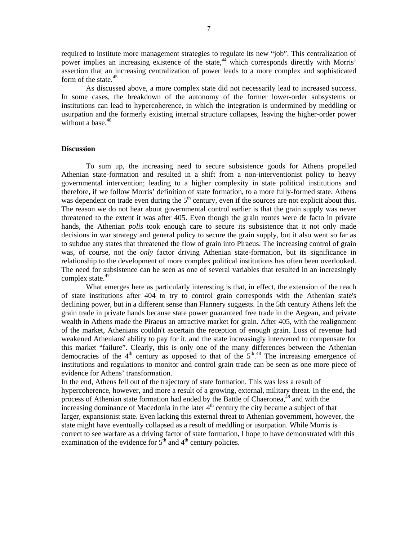required to institute more management strategies to regulate its new "job". This centralization of power implies an increasing existence of the state,44 which corresponds directly with Morris' assertion that an increasing centralization of power leads to a more complex and sophisticated form of the state.<sup>45</sup>

As discussed above, a more complex state did not necessarily lead to increased success. In some cases, the breakdown of the autonomy of the former lower-order subsystems or institutions can lead to hypercoherence, in which the integration is undermined by meddling or usurpation and the formerly existing internal structure collapses, leaving the higher-order power without a base.<sup>46</sup>

#### **Discussion**

To sum up, the increasing need to secure subsistence goods for Athens propelled Athenian state-formation and resulted in a shift from a non-interventionist policy to heavy governmental intervention; leading to a higher complexity in state political institutions and therefore, if we follow Morris' definition of state formation, to a more fully-formed state. Athens was dependent on trade even during the  $5<sup>th</sup>$  century, even if the sources are not explicit about this. The reason we do not hear about governmental control earlier is that the grain supply was never threatened to the extent it was after 405. Even though the grain routes were de facto in private hands, the Athenian *polis* took enough care to secure its subsistence that it not only made decisions in war strategy and general policy to secure the grain supply, but it also went so far as to subdue any states that threatened the flow of grain into Piraeus. The increasing control of grain was, of course, not the *only* factor driving Athenian state-formation, but its significance in relationship to the development of more complex political institutions has often been overlooked. The need for subsistence can be seen as one of several variables that resulted in an increasingly complex state.<sup>47</sup>

What emerges here as particularly interesting is that, in effect, the extension of the reach of state institutions after 404 to try to control grain corresponds with the Athenian state's declining power, but in a different sense than Flannery suggests. In the 5th century Athens left the grain trade in private hands because state power guaranteed free trade in the Aegean, and private wealth in Athens made the Piraeus an attractive market for grain. After 405, with the realignment of the market, Athenians couldn't ascertain the reception of enough grain. Loss of revenue had weakened Athenians' ability to pay for it, and the state increasingly intervened to compensate for this market "failure". Clearly, this is only one of the many differences between the Athenian democracies of the  $4<sup>th</sup>$  century as opposed to that of the  $5<sup>th</sup>$ .<sup>48</sup> The increasing emergence of institutions and regulations to monitor and control grain trade can be seen as one more piece of evidence for Athens' transformation.

In the end, Athens fell out of the trajectory of state formation. This was less a result of hypercoherence, however, and more a result of a growing, external, military threat. In the end, the process of Athenian state formation had ended by the Battle of Chaeronea, $^{49}$  and with the increasing dominance of Macedonia in the later  $4<sup>th</sup>$  century the city became a subject of that larger, expansionist state. Even lacking this external threat to Athenian government, however, the state might have eventually collapsed as a result of meddling or usurpation. While Morris is correct to see warfare as a driving factor of state formation, I hope to have demonstrated with this examination of the evidence for  $5<sup>th</sup>$  and  $4<sup>th</sup>$  century policies.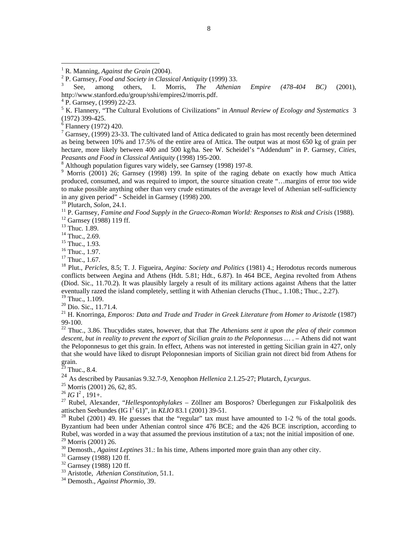5 K. Flannery, "The Cultural Evolutions of Civilizations" in *Annual Review of Ecology and Systematics* 3 (1972) 399-425.

<sup>6</sup> Flannery (1972) 420.

 $\overline{a}$ 

 $7$  Garnsey, (1999) 23-33. The cultivated land of Attica dedicated to grain has most recently been determined as being between 10% and 17.5% of the entire area of Attica. The output was at most 650 kg of grain per hectare, more likely between 400 and 500 kg/ha. See W. Scheidel's "Addendum" in P. Garnsey, *Cities,*  Peasants and Food in Classical Antiquity (1998) 195-200.

Although population figures vary widely, see Garnsey (1998) 197-8.

<sup>9</sup> Morris (2001) 26; Garnsey (1998) 199. In spite of the raging debate on exactly how much Attica produced, consumed, and was required to import, the source situation create "…margins of error too wide to make possible anything other than very crude estimates of the average level of Athenian self-sufficiencty in any given period" - Scheidel in Garnsey (1998) 200.<br><sup>10</sup> Plutarch, *Solon*, 24.1.

<sup>11</sup> P. Garnsey, *Famine and Food Supply in the Graeco-Roman World: Responses to Risk and Crisis* (1988). <sup>12</sup> Garnsey (1988) 119 ff.

<sup>13</sup> Thuc. 1.89.

<sup>14</sup> Thuc., 2.69.

<sup>15</sup> Thuc., 1.93.

<sup>16</sup> Thuc., 1.97.

<sup>17</sup> Thuc., 1.67.

18 Plut., *Pericles,* 8.5; T. J. Figueira, *Aegina: Society and Politics* (1981) 4.; Herodotus records numerous conflicts between Aegina and Athens (Hdt. 5.81; Hdt., 6.87). In 464 BCE, Aegina revolted from Athens (Diod. Sic., 11.70.2). It was plausibly largely a result of its military actions against Athens that the latter eventually razed the island completely, settling it with Athenian cleruchs (Thuc., 1.108.; Thuc., 2.27).

<sup>19</sup> Thuc., 1.109.

<sup>20</sup> Dio. Sic., 11.71.4.

<sup>21</sup> H. Knorringa, *Emporos: Data and Trade and Trader in Greek Literature from Homer to Aristotle* (1987) 99-100.

<sup>22</sup> Thuc., 3.86. Thucydides states, however, that that *The Athenians sent it upon the plea of their common descent, but in reality to prevent the export of Sicilian grain to the Peloponnesus …* . – Athens did not want the Peloponnesus to get this grain. In effect, Athens was not interested in getting Sicilian grain in 427, only that she would have liked to disrupt Peloponnesian imports of Sicilian grain not direct bid from Athens for  $\begin{bmatrix} \text{grain.} \\ \text{23} \end{bmatrix}$ 

Thuc., 8.4.

<sup>24</sup> As described by Pausanias 9.32.7-9, Xenophon *Hellenica* 2.1.25-27; Plutarch, *Lycurgus*. 25 Morris (2001) 26, 62, 85.

 $^{26}$  *IG* I<sup>2</sup>, 191+.

<sup>27</sup> Rubel, Alexander, "*Hellespontophylakes* – Zöllner am Bosporos? Überlegungen zur Fiskalpolitik des attischen Seebundes (IG  $I^3$  61)", in KLIO 83.1 (2001) 39-51.

<sup>28</sup> Rubel (2001) 49. He guesses that the "regular" tax must have amounted to 1-2 % of the total goods. Byzantium had been under Athenian control since 476 BCE; and the 426 BCE inscription, according to Rubel, was worded in a way that assumed the previous institution of a tax; not the initial imposition of one. 29 Morris (2001) 26.

<sup>30</sup> Demosth., *Against Leptines* 31.: In his time, Athens imported more grain than any other city.<br><sup>31</sup> Garnsey (1988) 120 ff.

32 Garnsey (1988) 120 ff.

33 Aristotle, *Athenian Constitution,* 51.1. 34 Demosth., *Against Phormio,* 39.

<sup>&</sup>lt;sup>1</sup> R. Manning, *Against the Grain* (2004).

<sup>&</sup>lt;sup>2</sup> P. Garnsey, *Food and Society in Classical Antiquity* (1999) 33.<br><sup>3</sup> See, among others, I. Morris, *The Athenian* 

See, among others, I. Morris, *The Athenian Empire (478-404 BC)* (2001), http://www.stanford.edu/group/sshi/empires2/morris.pdf. 4

 $4$  P. Garnsey, (1999) 22-23.